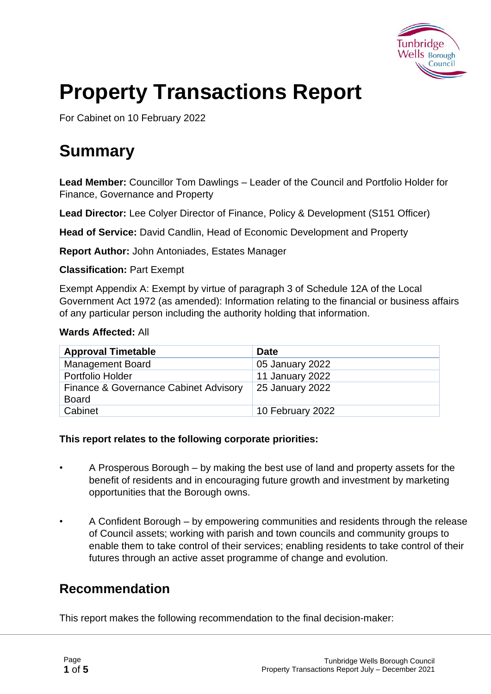

# **Property Transactions Report**

For Cabinet on 10 February 2022

## **Summary**

**Lead Member:** Councillor Tom Dawlings – Leader of the Council and Portfolio Holder for Finance, Governance and Property

**Lead Director:** Lee Colyer Director of Finance, Policy & Development (S151 Officer)

**Head of Service:** David Candlin, Head of Economic Development and Property

**Report Author:** John Antoniades, Estates Manager

**Classification:** Part Exempt

Exempt Appendix A: Exempt by virtue of paragraph 3 of Schedule 12A of the Local Government Act 1972 (as amended): Information relating to the financial or business affairs of any particular person including the authority holding that information.

#### **Wards Affected:** All

| <b>Approval Timetable</b>                             | <b>Date</b>      |
|-------------------------------------------------------|------------------|
| <b>Management Board</b>                               | 05 January 2022  |
| Portfolio Holder                                      | 11 January 2022  |
| Finance & Governance Cabinet Advisory<br><b>Board</b> | 25 January 2022  |
| Cabinet                                               | 10 February 2022 |

#### **This report relates to the following corporate priorities:**

- A Prosperous Borough by making the best use of land and property assets for the benefit of residents and in encouraging future growth and investment by marketing opportunities that the Borough owns.
- A Confident Borough by empowering communities and residents through the release of Council assets; working with parish and town councils and community groups to enable them to take control of their services; enabling residents to take control of their futures through an active asset programme of change and evolution.

#### **Recommendation**

This report makes the following recommendation to the final decision-maker: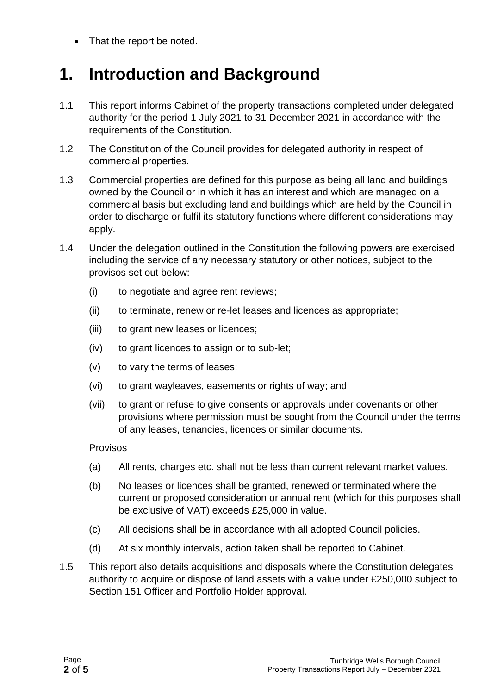• That the report be noted.

## **1. Introduction and Background**

- 1.1 This report informs Cabinet of the property transactions completed under delegated authority for the period 1 July 2021 to 31 December 2021 in accordance with the requirements of the Constitution.
- 1.2 The Constitution of the Council provides for delegated authority in respect of commercial properties.
- 1.3 Commercial properties are defined for this purpose as being all land and buildings owned by the Council or in which it has an interest and which are managed on a commercial basis but excluding land and buildings which are held by the Council in order to discharge or fulfil its statutory functions where different considerations may apply.
- 1.4 Under the delegation outlined in the Constitution the following powers are exercised including the service of any necessary statutory or other notices, subject to the provisos set out below:
	- (i) to negotiate and agree rent reviews;
	- (ii) to terminate, renew or re-let leases and licences as appropriate;
	- (iii) to grant new leases or licences;
	- (iv) to grant licences to assign or to sub-let;
	- (v) to vary the terms of leases;
	- (vi) to grant wayleaves, easements or rights of way; and
	- (vii) to grant or refuse to give consents or approvals under covenants or other provisions where permission must be sought from the Council under the terms of any leases, tenancies, licences or similar documents.

Provisos

- (a) All rents, charges etc. shall not be less than current relevant market values.
- (b) No leases or licences shall be granted, renewed or terminated where the current or proposed consideration or annual rent (which for this purposes shall be exclusive of VAT) exceeds £25,000 in value.
- (c) All decisions shall be in accordance with all adopted Council policies.
- (d) At six monthly intervals, action taken shall be reported to Cabinet.
- 1.5 This report also details acquisitions and disposals where the Constitution delegates authority to acquire or dispose of land assets with a value under £250,000 subject to Section 151 Officer and Portfolio Holder approval.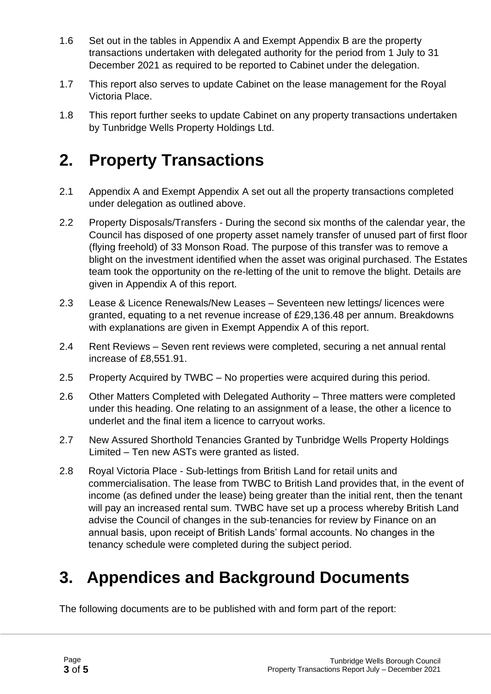- 1.6 Set out in the tables in Appendix A and Exempt Appendix B are the property transactions undertaken with delegated authority for the period from 1 July to 31 December 2021 as required to be reported to Cabinet under the delegation.
- 1.7 This report also serves to update Cabinet on the lease management for the Royal Victoria Place.
- 1.8 This report further seeks to update Cabinet on any property transactions undertaken by Tunbridge Wells Property Holdings Ltd.

## **2. Property Transactions**

- 2.1 Appendix A and Exempt Appendix A set out all the property transactions completed under delegation as outlined above.
- 2.2 Property Disposals/Transfers During the second six months of the calendar year, the Council has disposed of one property asset namely transfer of unused part of first floor (flying freehold) of 33 Monson Road. The purpose of this transfer was to remove a blight on the investment identified when the asset was original purchased. The Estates team took the opportunity on the re-letting of the unit to remove the blight. Details are given in Appendix A of this report.
- 2.3 Lease & Licence Renewals/New Leases Seventeen new lettings/ licences were granted, equating to a net revenue increase of £29,136.48 per annum. Breakdowns with explanations are given in Exempt Appendix A of this report.
- 2.4 Rent Reviews Seven rent reviews were completed, securing a net annual rental increase of £8,551.91.
- 2.5 Property Acquired by TWBC No properties were acquired during this period.
- 2.6 Other Matters Completed with Delegated Authority Three matters were completed under this heading. One relating to an assignment of a lease, the other a licence to underlet and the final item a licence to carryout works.
- 2.7 New Assured Shorthold Tenancies Granted by Tunbridge Wells Property Holdings Limited – Ten new ASTs were granted as listed.
- 2.8 Royal Victoria Place Sub-lettings from British Land for retail units and commercialisation. The lease from TWBC to British Land provides that, in the event of income (as defined under the lease) being greater than the initial rent, then the tenant will pay an increased rental sum. TWBC have set up a process whereby British Land advise the Council of changes in the sub-tenancies for review by Finance on an annual basis, upon receipt of British Lands' formal accounts. No changes in the tenancy schedule were completed during the subject period.

## **3. Appendices and Background Documents**

The following documents are to be published with and form part of the report: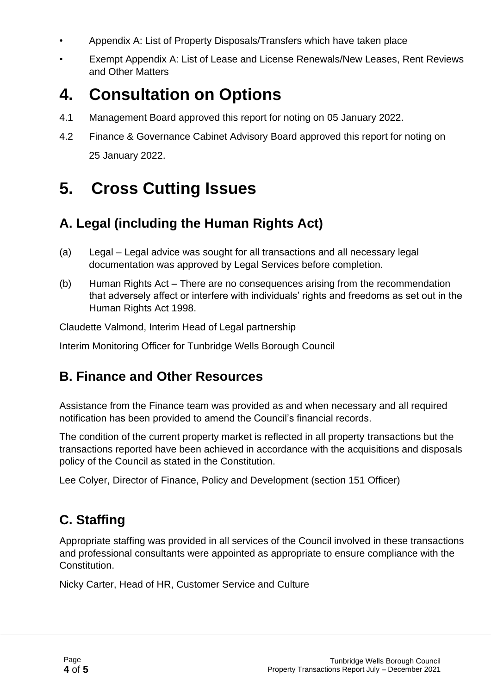- Appendix A: List of Property Disposals/Transfers which have taken place
- Exempt Appendix A: List of Lease and License Renewals/New Leases, Rent Reviews and Other Matters

## **4. Consultation on Options**

- 4.1 Management Board approved this report for noting on 05 January 2022.
- 4.2 Finance & Governance Cabinet Advisory Board approved this report for noting on 25 January 2022.

## **5. Cross Cutting Issues**

### **A. Legal (including the Human Rights Act)**

- (a) Legal Legal advice was sought for all transactions and all necessary legal documentation was approved by Legal Services before completion.
- (b) Human Rights Act There are no consequences arising from the recommendation that adversely affect or interfere with individuals' rights and freedoms as set out in the Human Rights Act 1998.

Claudette Valmond, Interim Head of Legal partnership

Interim Monitoring Officer for Tunbridge Wells Borough Council

#### **B. Finance and Other Resources**

Assistance from the Finance team was provided as and when necessary and all required notification has been provided to amend the Council's financial records.

The condition of the current property market is reflected in all property transactions but the transactions reported have been achieved in accordance with the acquisitions and disposals policy of the Council as stated in the Constitution.

Lee Colyer, Director of Finance, Policy and Development (section 151 Officer)

### **C. Staffing**

Appropriate staffing was provided in all services of the Council involved in these transactions and professional consultants were appointed as appropriate to ensure compliance with the Constitution.

Nicky Carter, Head of HR, Customer Service and Culture